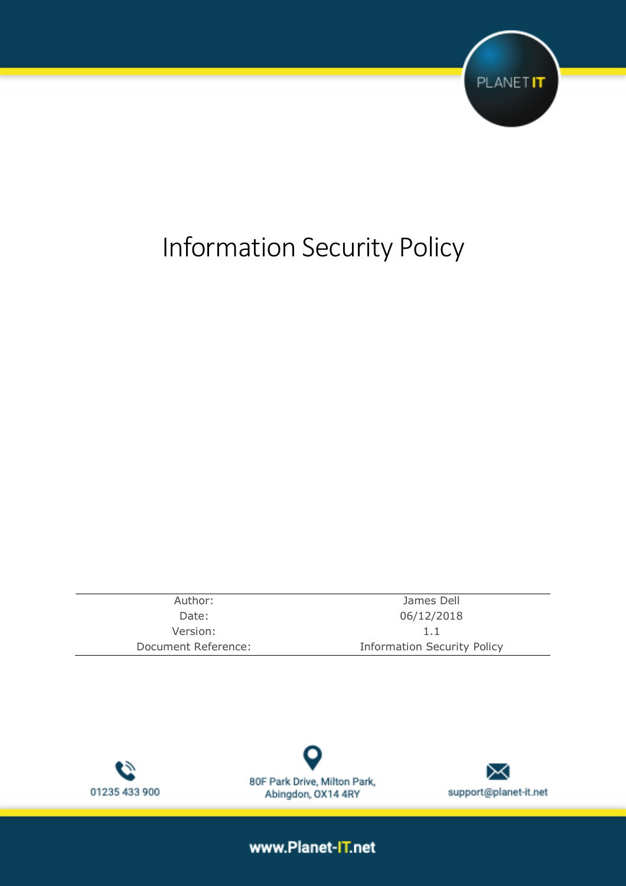

# Information Security Policy

| Author:             | James Dell                         |  |
|---------------------|------------------------------------|--|
| Date:               | 06/12/2018                         |  |
| Version:            | 1.1                                |  |
| Document Reference: | <b>Information Security Policy</b> |  |





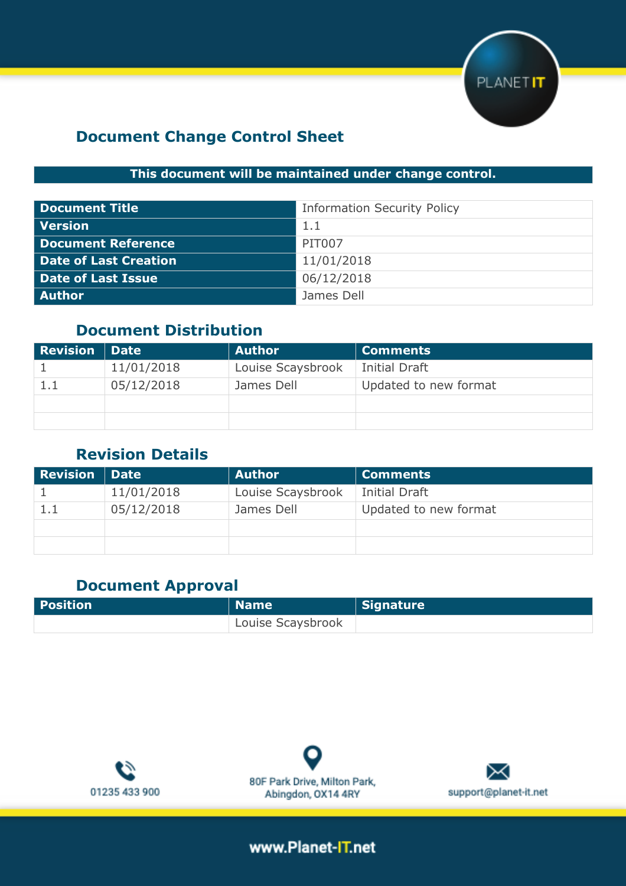

## **Document Change Control Sheet**

## **This document will be maintained under change control.**

| <b>Document Title</b>     | <b>Information Security Policy</b> |
|---------------------------|------------------------------------|
| <b>Version</b>            | 1.1                                |
| <b>Document Reference</b> | <b>PIT007</b>                      |
| Date of Last Creation     | 11/01/2018                         |
| <b>Date of Last Issue</b> | 06/12/2018                         |
| Author                    | James Dell                         |

## **Document Distribution**

| <b>Revision   Date</b> |            | Author            | Comments              |  |
|------------------------|------------|-------------------|-----------------------|--|
|                        | 11/01/2018 | Louise Scaysbrook | Initial Draft         |  |
|                        | 05/12/2018 | James Dell        | Updated to new format |  |
|                        |            |                   |                       |  |
|                        |            |                   |                       |  |

## **Revision Details**

| <b>Revision</b> | Date       | Author            | <b>Comments</b>       |  |
|-----------------|------------|-------------------|-----------------------|--|
|                 | 11/01/2018 | Louise Scaysbrook | Initial Draft         |  |
| 1.1             | 05/12/2018 | James Dell        | Updated to new format |  |
|                 |            |                   |                       |  |
|                 |            |                   |                       |  |

## **Document Approval**

| Position | Name              | Signature |
|----------|-------------------|-----------|
|          | Louise Scaysbrook |           |





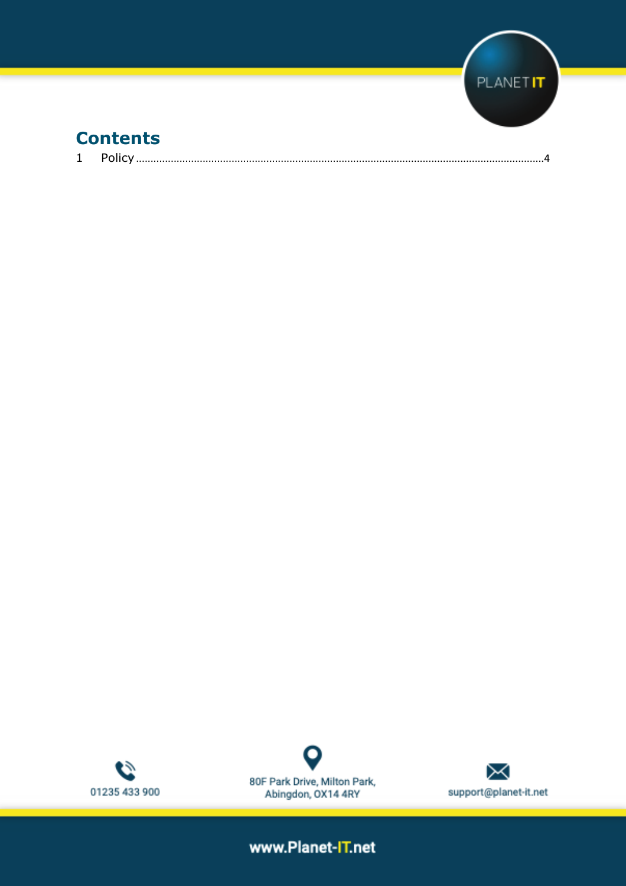

|--|--|--|





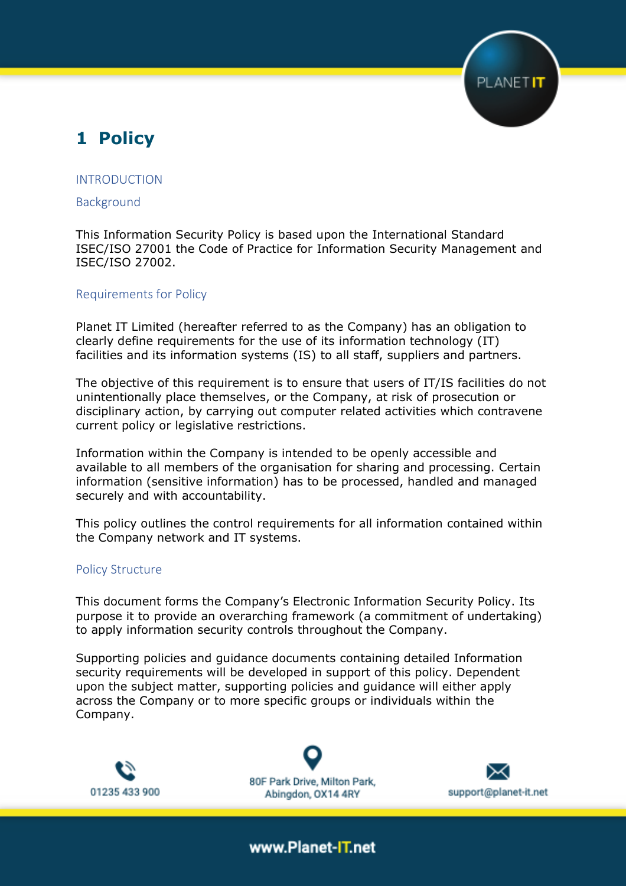## <span id="page-3-0"></span>**1 Policy**

#### INTRODUCTION

#### Background

This Information Security Policy is based upon the International Standard ISEC/ISO 27001 the Code of Practice for Information Security Management and ISEC/ISO 27002.

#### Requirements for Policy

Planet IT Limited (hereafter referred to as the Company) has an obligation to clearly define requirements for the use of its information technology (IT) facilities and its information systems (IS) to all staff, suppliers and partners.

The objective of this requirement is to ensure that users of IT/IS facilities do not unintentionally place themselves, or the Company, at risk of prosecution or disciplinary action, by carrying out computer related activities which contravene current policy or legislative restrictions.

Information within the Company is intended to be openly accessible and available to all members of the organisation for sharing and processing. Certain information (sensitive information) has to be processed, handled and managed securely and with accountability.

This policy outlines the control requirements for all information contained within the Company network and IT systems.

#### Policy Structure

This document forms the Company's Electronic Information Security Policy. Its purpose it to provide an overarching framework (a commitment of undertaking) to apply information security controls throughout the Company.

Supporting policies and guidance documents containing detailed Information security requirements will be developed in support of this policy. Dependent upon the subject matter, supporting policies and guidance will either apply across the Company or to more specific groups or individuals within the Company.



80F Park Drive, Milton Park, Abingdon, OX14 4RY



PLANETIT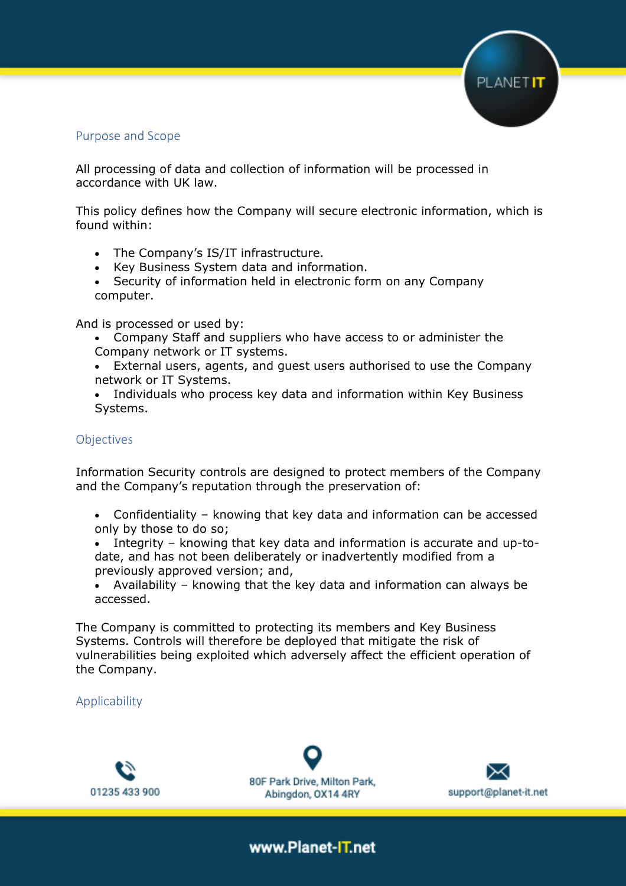

#### Purpose and Scope

All processing of data and collection of information will be processed in accordance with UK law.

This policy defines how the Company will secure electronic information, which is found within:

- The Company's IS/IT infrastructure.
- Key Business System data and information.
- Security of information held in electronic form on any Company computer.

And is processed or used by:

- Company Staff and suppliers who have access to or administer the Company network or IT systems.
- External users, agents, and guest users authorised to use the Company network or IT Systems.
- Individuals who process key data and information within Key Business Systems.

#### **Objectives**

Information Security controls are designed to protect members of the Company and the Company's reputation through the preservation of:

- Confidentiality knowing that key data and information can be accessed only by those to do so;
- Integrity knowing that key data and information is accurate and up-todate, and has not been deliberately or inadvertently modified from a previously approved version; and,
- Availability knowing that the key data and information can always be accessed.

The Company is committed to protecting its members and Key Business Systems. Controls will therefore be deployed that mitigate the risk of vulnerabilities being exploited which adversely affect the efficient operation of the Company.

Applicability



80F Park Drive, Milton Park, Abingdon, OX14 4RY

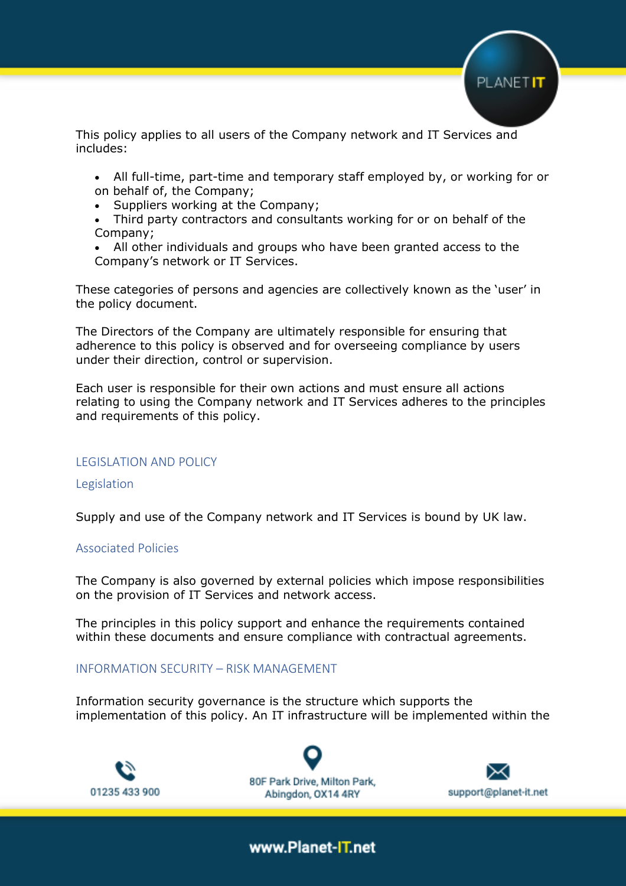

This policy applies to all users of the Company network and IT Services and includes:

- All full-time, part-time and temporary staff employed by, or working for or on behalf of, the Company;
- Suppliers working at the Company;
- Third party contractors and consultants working for or on behalf of the Company;
- All other individuals and groups who have been granted access to the Company's network or IT Services.

These categories of persons and agencies are collectively known as the 'user' in the policy document.

The Directors of the Company are ultimately responsible for ensuring that adherence to this policy is observed and for overseeing compliance by users under their direction, control or supervision.

Each user is responsible for their own actions and must ensure all actions relating to using the Company network and IT Services adheres to the principles and requirements of this policy.

#### LEGISLATION AND POLICY

#### Legislation

Supply and use of the Company network and IT Services is bound by UK law.

#### Associated Policies

The Company is also governed by external policies which impose responsibilities on the provision of IT Services and network access.

The principles in this policy support and enhance the requirements contained within these documents and ensure compliance with contractual agreements.

#### INFORMATION SECURITY – RISK MANAGEMENT

Information security governance is the structure which supports the implementation of this policy. An IT infrastructure will be implemented within the





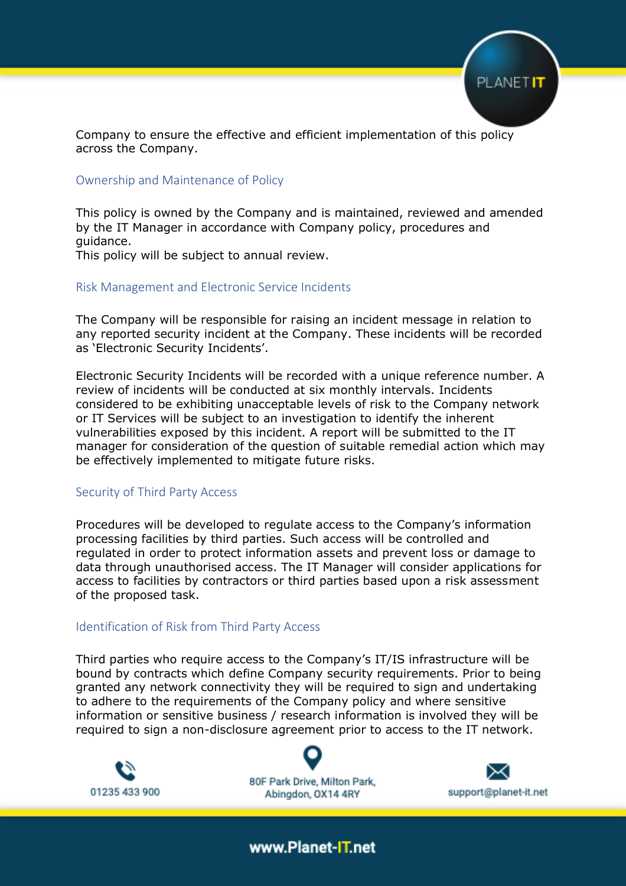

Company to ensure the effective and efficient implementation of this policy across the Company.

#### Ownership and Maintenance of Policy

This policy is owned by the Company and is maintained, reviewed and amended by the IT Manager in accordance with Company policy, procedures and guidance.

This policy will be subject to annual review.

#### Risk Management and Electronic Service Incidents

The Company will be responsible for raising an incident message in relation to any reported security incident at the Company. These incidents will be recorded as 'Electronic Security Incidents'.

Electronic Security Incidents will be recorded with a unique reference number. A review of incidents will be conducted at six monthly intervals. Incidents considered to be exhibiting unacceptable levels of risk to the Company network or IT Services will be subject to an investigation to identify the inherent vulnerabilities exposed by this incident. A report will be submitted to the IT manager for consideration of the question of suitable remedial action which may be effectively implemented to mitigate future risks.

#### Security of Third Party Access

Procedures will be developed to regulate access to the Company's information processing facilities by third parties. Such access will be controlled and regulated in order to protect information assets and prevent loss or damage to data through unauthorised access. The IT Manager will consider applications for access to facilities by contractors or third parties based upon a risk assessment of the proposed task.

#### Identification of Risk from Third Party Access

Third parties who require access to the Company's IT/IS infrastructure will be bound by contracts which define Company security requirements. Prior to being granted any network connectivity they will be required to sign and undertaking to adhere to the requirements of the Company policy and where sensitive information or sensitive business / research information is involved they will be required to sign a non-disclosure agreement prior to access to the IT network.



80F Park Drive, Milton Park, Abingdon, OX14 4RY

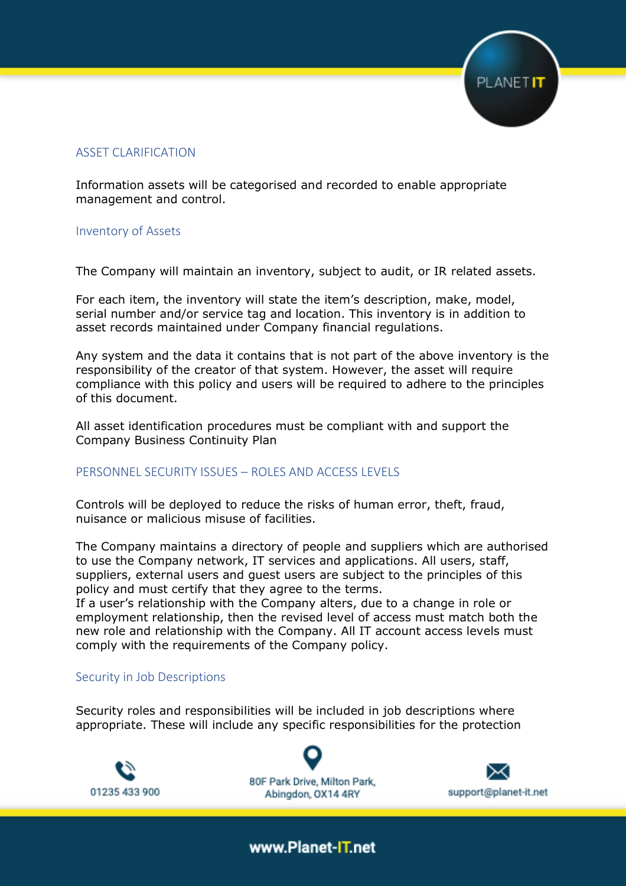

#### ASSET CLARIFICATION

Information assets will be categorised and recorded to enable appropriate management and control.

#### Inventory of Assets

The Company will maintain an inventory, subject to audit, or IR related assets.

For each item, the inventory will state the item's description, make, model, serial number and/or service tag and location. This inventory is in addition to asset records maintained under Company financial regulations.

Any system and the data it contains that is not part of the above inventory is the responsibility of the creator of that system. However, the asset will require compliance with this policy and users will be required to adhere to the principles of this document.

All asset identification procedures must be compliant with and support the Company Business Continuity Plan

#### PERSONNEL SECURITY ISSUES – ROLES AND ACCESS LEVELS

Controls will be deployed to reduce the risks of human error, theft, fraud, nuisance or malicious misuse of facilities.

The Company maintains a directory of people and suppliers which are authorised to use the Company network, IT services and applications. All users, staff, suppliers, external users and guest users are subject to the principles of this policy and must certify that they agree to the terms.

If a user's relationship with the Company alters, due to a change in role or employment relationship, then the revised level of access must match both the new role and relationship with the Company. All IT account access levels must comply with the requirements of the Company policy.

#### Security in Job Descriptions

Security roles and responsibilities will be included in job descriptions where appropriate. These will include any specific responsibilities for the protection

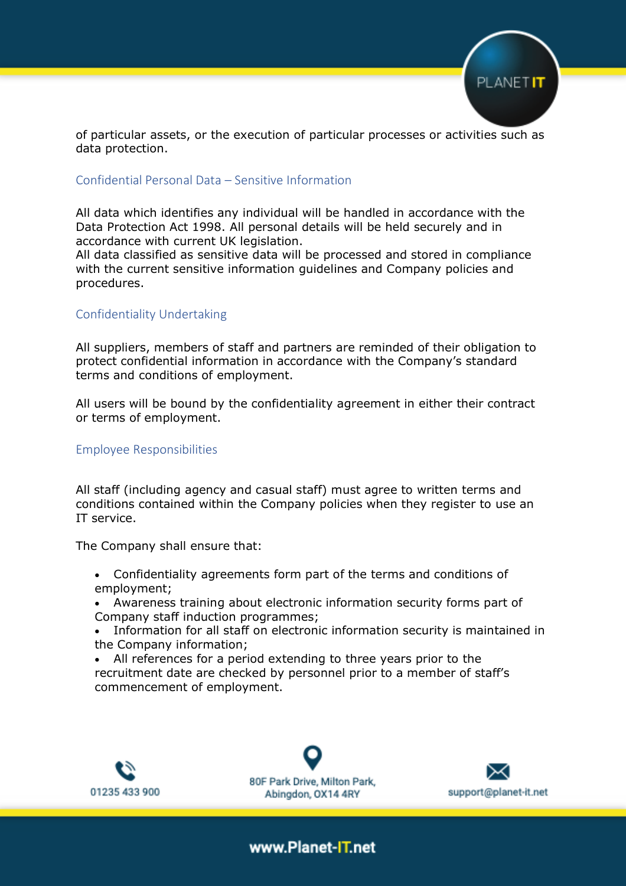

of particular assets, or the execution of particular processes or activities such as data protection.

#### Confidential Personal Data – Sensitive Information

All data which identifies any individual will be handled in accordance with the Data Protection Act 1998. All personal details will be held securely and in accordance with current UK legislation.

All data classified as sensitive data will be processed and stored in compliance with the current sensitive information guidelines and Company policies and procedures.

#### Confidentiality Undertaking

All suppliers, members of staff and partners are reminded of their obligation to protect confidential information in accordance with the Company's standard terms and conditions of employment.

All users will be bound by the confidentiality agreement in either their contract or terms of employment.

#### Employee Responsibilities

All staff (including agency and casual staff) must agree to written terms and conditions contained within the Company policies when they register to use an IT service.

The Company shall ensure that:

- Confidentiality agreements form part of the terms and conditions of employment;
- Awareness training about electronic information security forms part of Company staff induction programmes;
- Information for all staff on electronic information security is maintained in the Company information;
- All references for a period extending to three years prior to the recruitment date are checked by personnel prior to a member of staff's commencement of employment.



80F Park Drive, Milton Park, Abingdon, OX14 4RY

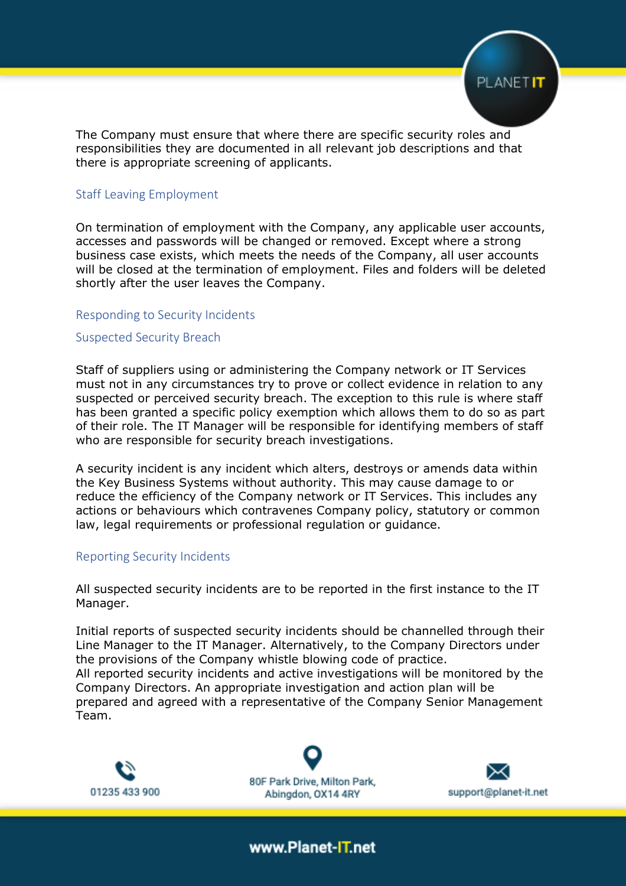

The Company must ensure that where there are specific security roles and responsibilities they are documented in all relevant job descriptions and that there is appropriate screening of applicants.

#### Staff Leaving Employment

On termination of employment with the Company, any applicable user accounts, accesses and passwords will be changed or removed. Except where a strong business case exists, which meets the needs of the Company, all user accounts will be closed at the termination of employment. Files and folders will be deleted shortly after the user leaves the Company.

#### Responding to Security Incidents

#### Suspected Security Breach

Staff of suppliers using or administering the Company network or IT Services must not in any circumstances try to prove or collect evidence in relation to any suspected or perceived security breach. The exception to this rule is where staff has been granted a specific policy exemption which allows them to do so as part of their role. The IT Manager will be responsible for identifying members of staff who are responsible for security breach investigations.

A security incident is any incident which alters, destroys or amends data within the Key Business Systems without authority. This may cause damage to or reduce the efficiency of the Company network or IT Services. This includes any actions or behaviours which contravenes Company policy, statutory or common law, legal requirements or professional regulation or guidance.

#### Reporting Security Incidents

All suspected security incidents are to be reported in the first instance to the IT Manager.

Initial reports of suspected security incidents should be channelled through their Line Manager to the IT Manager. Alternatively, to the Company Directors under the provisions of the Company whistle blowing code of practice. All reported security incidents and active investigations will be monitored by the Company Directors. An appropriate investigation and action plan will be prepared and agreed with a representative of the Company Senior Management Team.



80F Park Drive, Milton Park. Abingdon, OX14 4RY

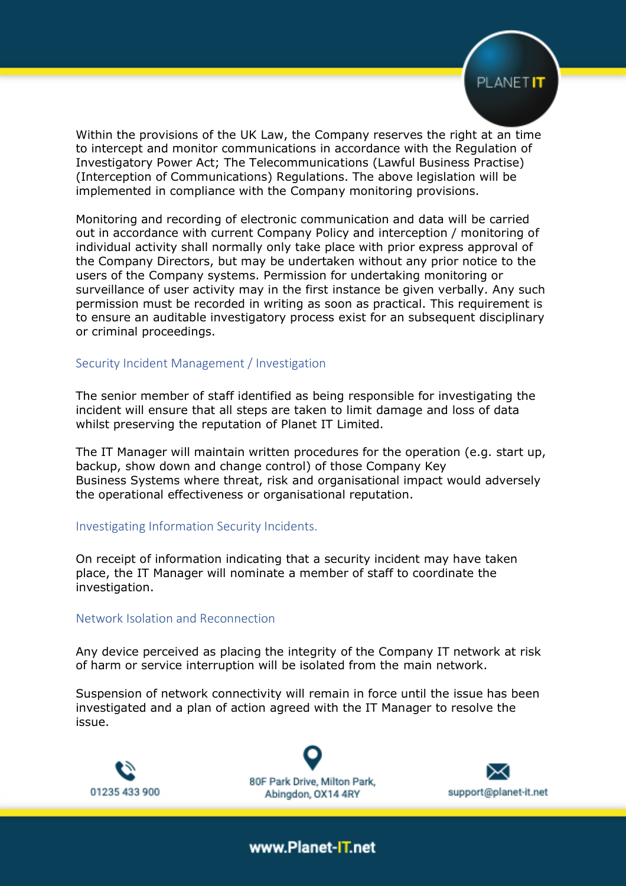

Within the provisions of the UK Law, the Company reserves the right at an time to intercept and monitor communications in accordance with the Regulation of Investigatory Power Act; The Telecommunications (Lawful Business Practise) (Interception of Communications) Regulations. The above legislation will be implemented in compliance with the Company monitoring provisions.

Monitoring and recording of electronic communication and data will be carried out in accordance with current Company Policy and interception / monitoring of individual activity shall normally only take place with prior express approval of the Company Directors, but may be undertaken without any prior notice to the users of the Company systems. Permission for undertaking monitoring or surveillance of user activity may in the first instance be given verbally. Any such permission must be recorded in writing as soon as practical. This requirement is to ensure an auditable investigatory process exist for an subsequent disciplinary or criminal proceedings.

#### Security Incident Management / Investigation

The senior member of staff identified as being responsible for investigating the incident will ensure that all steps are taken to limit damage and loss of data whilst preserving the reputation of Planet IT Limited.

The IT Manager will maintain written procedures for the operation (e.g. start up, backup, show down and change control) of those Company Key Business Systems where threat, risk and organisational impact would adversely the operational effectiveness or organisational reputation.

#### Investigating Information Security Incidents.

On receipt of information indicating that a security incident may have taken place, the IT Manager will nominate a member of staff to coordinate the investigation.

#### Network Isolation and Reconnection

Any device perceived as placing the integrity of the Company IT network at risk of harm or service interruption will be isolated from the main network.

Suspension of network connectivity will remain in force until the issue has been investigated and a plan of action agreed with the IT Manager to resolve the issue.



80F Park Drive, Milton Park, Abingdon, OX14 4RY

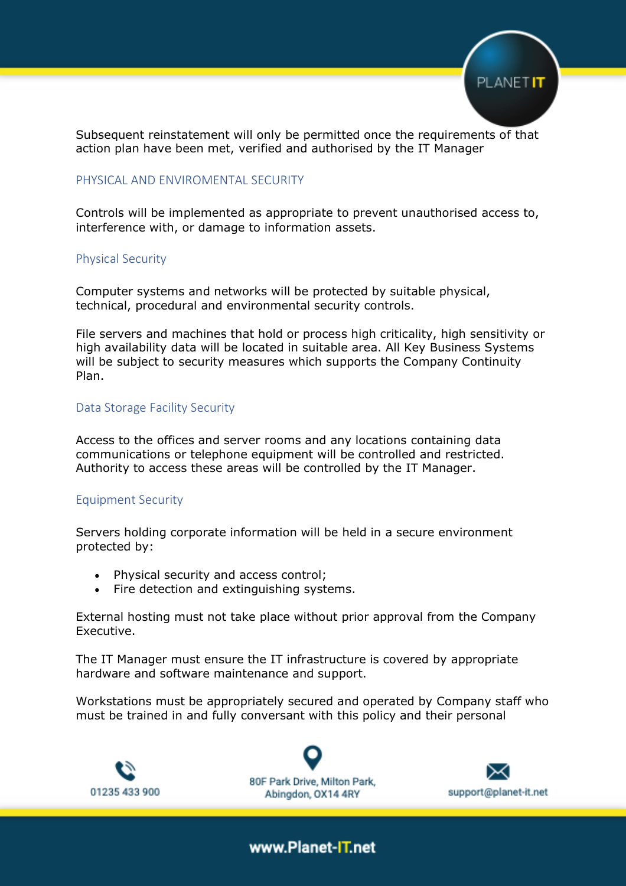

Subsequent reinstatement will only be permitted once the requirements of that action plan have been met, verified and authorised by the IT Manager

#### PHYSICAL AND ENVIROMENTAL SECURITY

Controls will be implemented as appropriate to prevent unauthorised access to, interference with, or damage to information assets.

#### Physical Security

Computer systems and networks will be protected by suitable physical, technical, procedural and environmental security controls.

File servers and machines that hold or process high criticality, high sensitivity or high availability data will be located in suitable area. All Key Business Systems will be subject to security measures which supports the Company Continuity Plan.

#### Data Storage Facility Security

Access to the offices and server rooms and any locations containing data communications or telephone equipment will be controlled and restricted. Authority to access these areas will be controlled by the IT Manager.

#### Equipment Security

Servers holding corporate information will be held in a secure environment protected by:

- Physical security and access control;
- Fire detection and extinguishing systems.

External hosting must not take place without prior approval from the Company Executive.

The IT Manager must ensure the IT infrastructure is covered by appropriate hardware and software maintenance and support.

Workstations must be appropriately secured and operated by Company staff who must be trained in and fully conversant with this policy and their personal



80F Park Drive, Milton Park, Abingdon, OX14 4RY

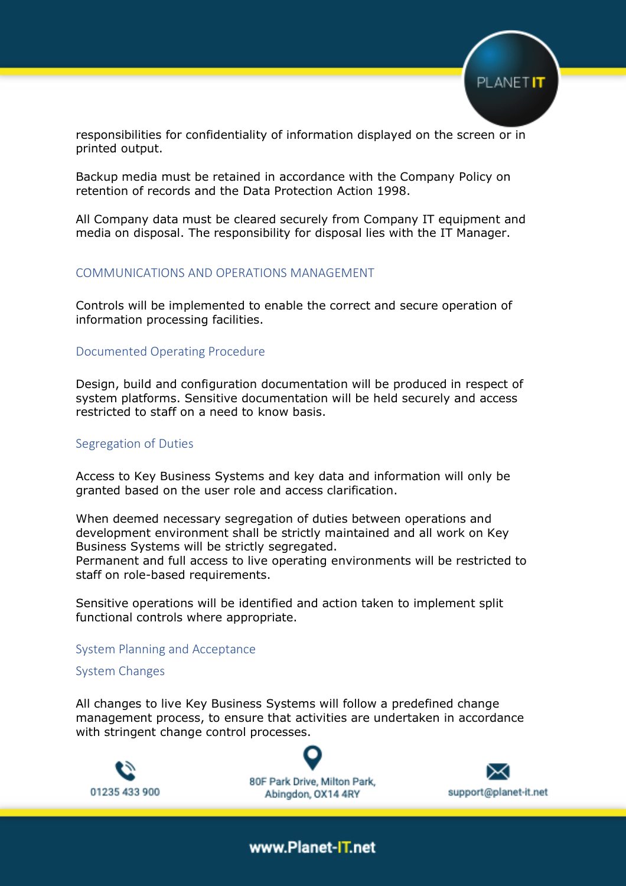

responsibilities for confidentiality of information displayed on the screen or in printed output.

Backup media must be retained in accordance with the Company Policy on retention of records and the Data Protection Action 1998.

All Company data must be cleared securely from Company IT equipment and media on disposal. The responsibility for disposal lies with the IT Manager.

#### COMMUNICATIONS AND OPERATIONS MANAGEMENT

Controls will be implemented to enable the correct and secure operation of information processing facilities.

#### Documented Operating Procedure

Design, build and configuration documentation will be produced in respect of system platforms. Sensitive documentation will be held securely and access restricted to staff on a need to know basis.

#### Segregation of Duties

Access to Key Business Systems and key data and information will only be granted based on the user role and access clarification.

When deemed necessary segregation of duties between operations and development environment shall be strictly maintained and all work on Key Business Systems will be strictly segregated.

Permanent and full access to live operating environments will be restricted to staff on role-based requirements.

Sensitive operations will be identified and action taken to implement split functional controls where appropriate.

#### System Planning and Acceptance

#### System Changes

All changes to live Key Business Systems will follow a predefined change management process, to ensure that activities are undertaken in accordance with stringent change control processes.



80F Park Drive, Milton Park, Abingdon, OX14 4RY

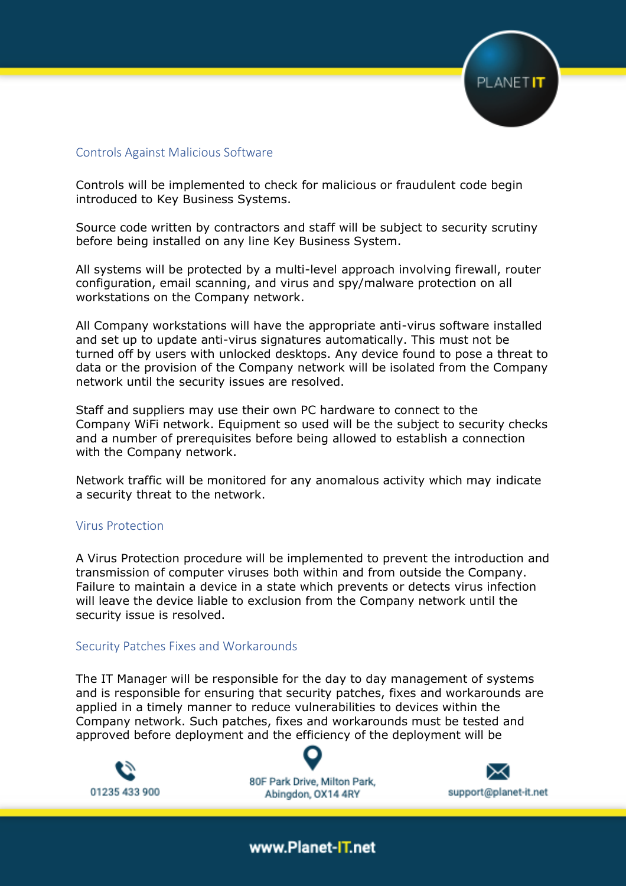

#### Controls Against Malicious Software

Controls will be implemented to check for malicious or fraudulent code begin introduced to Key Business Systems.

Source code written by contractors and staff will be subject to security scrutiny before being installed on any line Key Business System.

All systems will be protected by a multi-level approach involving firewall, router configuration, email scanning, and virus and spy/malware protection on all workstations on the Company network.

All Company workstations will have the appropriate anti-virus software installed and set up to update anti-virus signatures automatically. This must not be turned off by users with unlocked desktops. Any device found to pose a threat to data or the provision of the Company network will be isolated from the Company network until the security issues are resolved.

Staff and suppliers may use their own PC hardware to connect to the Company WiFi network. Equipment so used will be the subject to security checks and a number of prerequisites before being allowed to establish a connection with the Company network.

Network traffic will be monitored for any anomalous activity which may indicate a security threat to the network.

#### Virus Protection

A Virus Protection procedure will be implemented to prevent the introduction and transmission of computer viruses both within and from outside the Company. Failure to maintain a device in a state which prevents or detects virus infection will leave the device liable to exclusion from the Company network until the security issue is resolved.

#### Security Patches Fixes and Workarounds

The IT Manager will be responsible for the day to day management of systems and is responsible for ensuring that security patches, fixes and workarounds are applied in a timely manner to reduce vulnerabilities to devices within the Company network. Such patches, fixes and workarounds must be tested and approved before deployment and the efficiency of the deployment will be

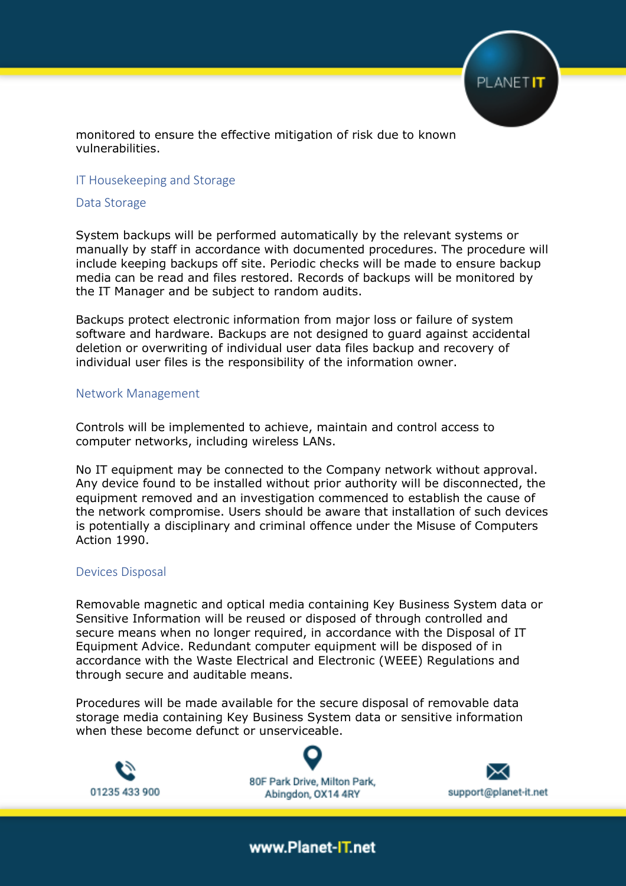

monitored to ensure the effective mitigation of risk due to known vulnerabilities.

#### IT Housekeeping and Storage

#### Data Storage

System backups will be performed automatically by the relevant systems or manually by staff in accordance with documented procedures. The procedure will include keeping backups off site. Periodic checks will be made to ensure backup media can be read and files restored. Records of backups will be monitored by the IT Manager and be subject to random audits.

Backups protect electronic information from major loss or failure of system software and hardware. Backups are not designed to guard against accidental deletion or overwriting of individual user data files backup and recovery of individual user files is the responsibility of the information owner.

#### Network Management

Controls will be implemented to achieve, maintain and control access to computer networks, including wireless LANs.

No IT equipment may be connected to the Company network without approval. Any device found to be installed without prior authority will be disconnected, the equipment removed and an investigation commenced to establish the cause of the network compromise. Users should be aware that installation of such devices is potentially a disciplinary and criminal offence under the Misuse of Computers Action 1990.

#### Devices Disposal

Removable magnetic and optical media containing Key Business System data or Sensitive Information will be reused or disposed of through controlled and secure means when no longer required, in accordance with the Disposal of IT Equipment Advice. Redundant computer equipment will be disposed of in accordance with the Waste Electrical and Electronic (WEEE) Regulations and through secure and auditable means.

Procedures will be made available for the secure disposal of removable data storage media containing Key Business System data or sensitive information when these become defunct or unserviceable.

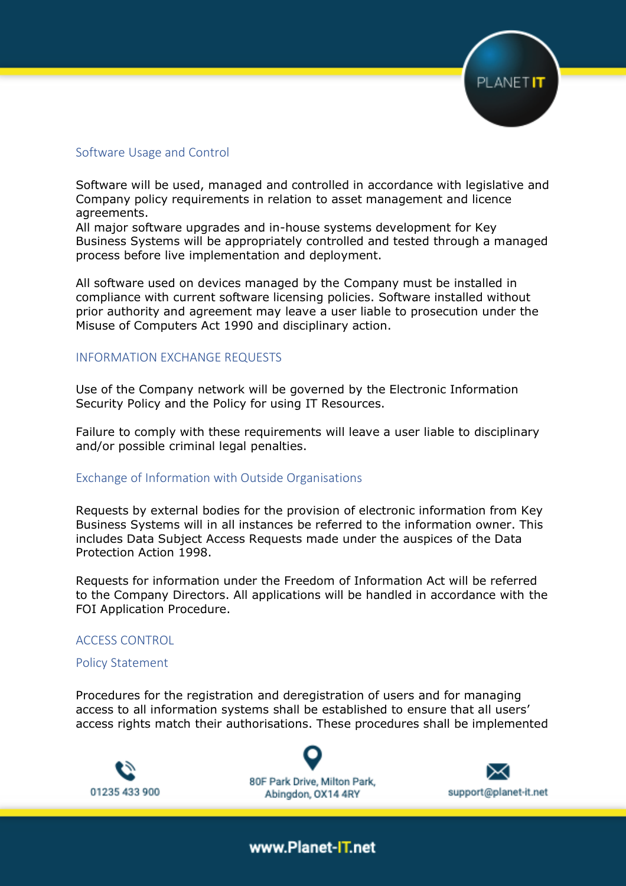

#### Software Usage and Control

Software will be used, managed and controlled in accordance with legislative and Company policy requirements in relation to asset management and licence agreements.

All major software upgrades and in-house systems development for Key Business Systems will be appropriately controlled and tested through a managed process before live implementation and deployment.

All software used on devices managed by the Company must be installed in compliance with current software licensing policies. Software installed without prior authority and agreement may leave a user liable to prosecution under the Misuse of Computers Act 1990 and disciplinary action.

#### INFORMATION EXCHANGE REQUESTS

Use of the Company network will be governed by the Electronic Information Security Policy and the Policy for using IT Resources.

Failure to comply with these requirements will leave a user liable to disciplinary and/or possible criminal legal penalties.

#### Exchange of Information with Outside Organisations

Requests by external bodies for the provision of electronic information from Key Business Systems will in all instances be referred to the information owner. This includes Data Subject Access Requests made under the auspices of the Data Protection Action 1998.

Requests for information under the Freedom of Information Act will be referred to the Company Directors. All applications will be handled in accordance with the FOI Application Procedure.

#### ACCESS CONTROL

#### Policy Statement

Procedures for the registration and deregistration of users and for managing access to all information systems shall be established to ensure that all users' access rights match their authorisations. These procedures shall be implemented



80F Park Drive, Milton Park, Abingdon, OX14 4RY

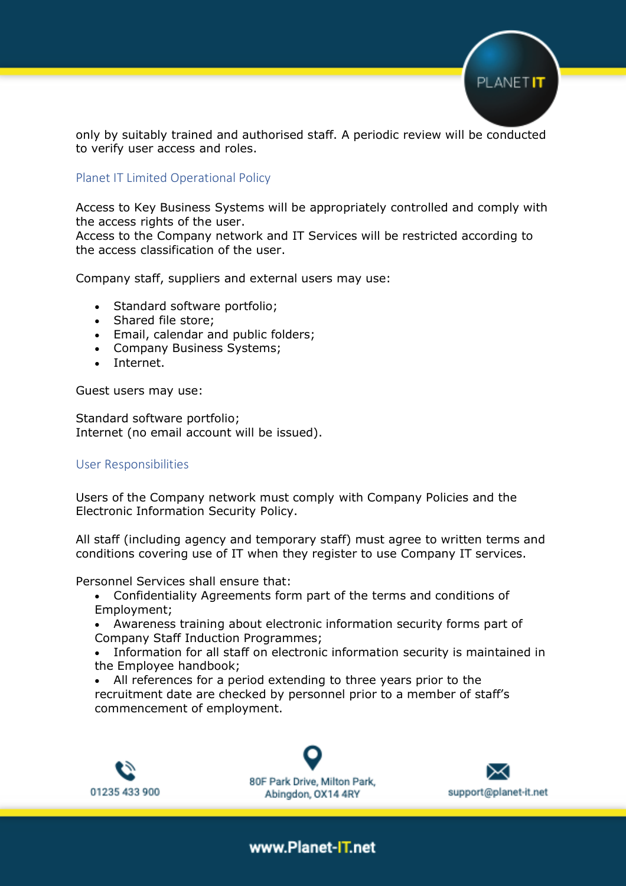

only by suitably trained and authorised staff. A periodic review will be conducted to verify user access and roles.

#### Planet IT Limited Operational Policy

Access to Key Business Systems will be appropriately controlled and comply with the access rights of the user.

Access to the Company network and IT Services will be restricted according to the access classification of the user.

Company staff, suppliers and external users may use:

- Standard software portfolio;
- Shared file store;
- Email, calendar and public folders;
- Company Business Systems;
- Internet.

Guest users may use:

Standard software portfolio; Internet (no email account will be issued).

#### User Responsibilities

Users of the Company network must comply with Company Policies and the Electronic Information Security Policy.

All staff (including agency and temporary staff) must agree to written terms and conditions covering use of IT when they register to use Company IT services.

Personnel Services shall ensure that:

- Confidentiality Agreements form part of the terms and conditions of Employment;
- Awareness training about electronic information security forms part of Company Staff Induction Programmes;
- Information for all staff on electronic information security is maintained in the Employee handbook;
- All references for a period extending to three years prior to the recruitment date are checked by personnel prior to a member of staff's commencement of employment.



80F Park Drive, Milton Park, Abingdon, OX14 4RY

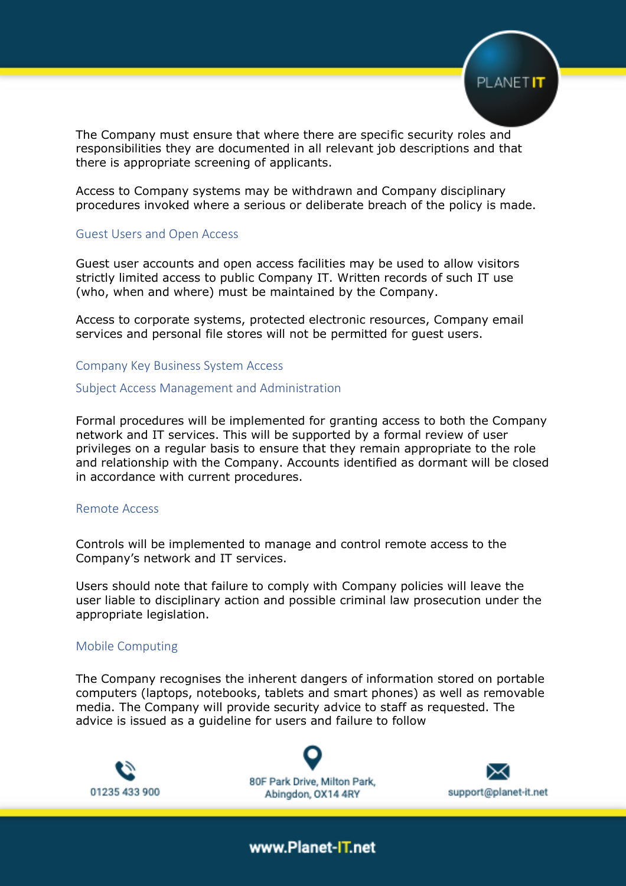

The Company must ensure that where there are specific security roles and responsibilities they are documented in all relevant job descriptions and that there is appropriate screening of applicants.

Access to Company systems may be withdrawn and Company disciplinary procedures invoked where a serious or deliberate breach of the policy is made.

#### Guest Users and Open Access

Guest user accounts and open access facilities may be used to allow visitors strictly limited access to public Company IT. Written records of such IT use (who, when and where) must be maintained by the Company.

Access to corporate systems, protected electronic resources, Company email services and personal file stores will not be permitted for guest users.

Company Key Business System Access

#### Subject Access Management and Administration

Formal procedures will be implemented for granting access to both the Company network and IT services. This will be supported by a formal review of user privileges on a regular basis to ensure that they remain appropriate to the role and relationship with the Company. Accounts identified as dormant will be closed in accordance with current procedures.

#### Remote Access

Controls will be implemented to manage and control remote access to the Company's network and IT services.

Users should note that failure to comply with Company policies will leave the user liable to disciplinary action and possible criminal law prosecution under the appropriate legislation.

#### Mobile Computing

The Company recognises the inherent dangers of information stored on portable computers (laptops, notebooks, tablets and smart phones) as well as removable media. The Company will provide security advice to staff as requested. The advice is issued as a guideline for users and failure to follow



80F Park Drive, Milton Park, Abingdon, OX14 4RY

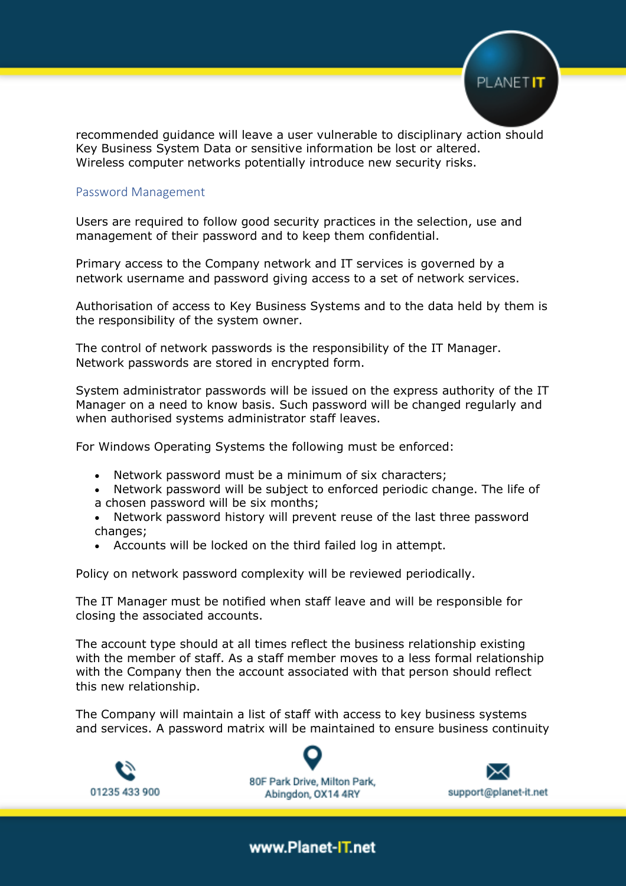

recommended guidance will leave a user vulnerable to disciplinary action should Key Business System Data or sensitive information be lost or altered. Wireless computer networks potentially introduce new security risks.

#### Password Management

Users are required to follow good security practices in the selection, use and management of their password and to keep them confidential.

Primary access to the Company network and IT services is governed by a network username and password giving access to a set of network services.

Authorisation of access to Key Business Systems and to the data held by them is the responsibility of the system owner.

The control of network passwords is the responsibility of the IT Manager. Network passwords are stored in encrypted form.

System administrator passwords will be issued on the express authority of the IT Manager on a need to know basis. Such password will be changed regularly and when authorised systems administrator staff leaves.

For Windows Operating Systems the following must be enforced:

- Network password must be a minimum of six characters;
- Network password will be subject to enforced periodic change. The life of a chosen password will be six months;
- Network password history will prevent reuse of the last three password changes;
- Accounts will be locked on the third failed log in attempt.

Policy on network password complexity will be reviewed periodically.

The IT Manager must be notified when staff leave and will be responsible for closing the associated accounts.

The account type should at all times reflect the business relationship existing with the member of staff. As a staff member moves to a less formal relationship with the Company then the account associated with that person should reflect this new relationship.

The Company will maintain a list of staff with access to key business systems and services. A password matrix will be maintained to ensure business continuity



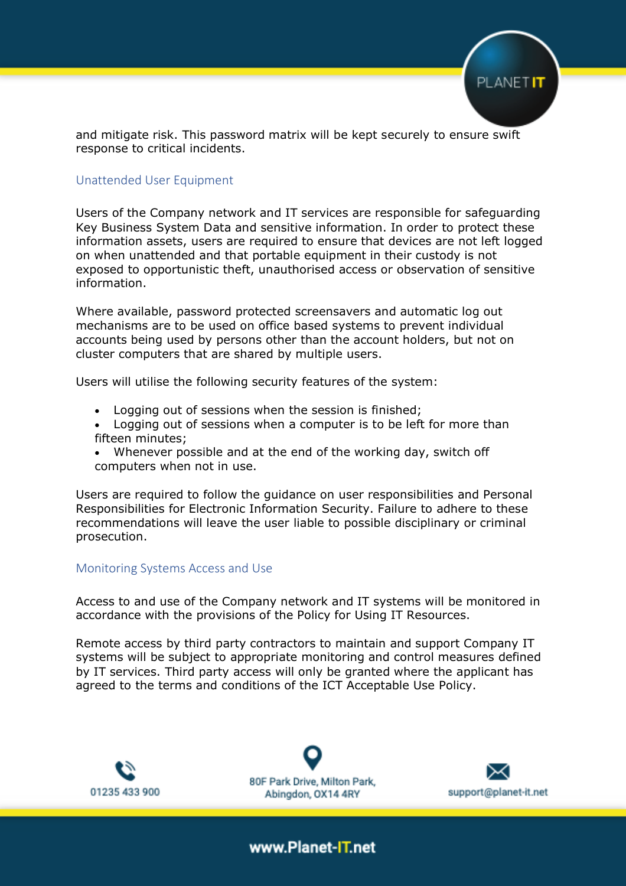

and mitigate risk. This password matrix will be kept securely to ensure swift response to critical incidents.

#### Unattended User Equipment

Users of the Company network and IT services are responsible for safeguarding Key Business System Data and sensitive information. In order to protect these information assets, users are required to ensure that devices are not left logged on when unattended and that portable equipment in their custody is not exposed to opportunistic theft, unauthorised access or observation of sensitive information.

Where available, password protected screensavers and automatic log out mechanisms are to be used on office based systems to prevent individual accounts being used by persons other than the account holders, but not on cluster computers that are shared by multiple users.

Users will utilise the following security features of the system:

- Logging out of sessions when the session is finished;
- Logging out of sessions when a computer is to be left for more than fifteen minutes;
- Whenever possible and at the end of the working day, switch off computers when not in use.

Users are required to follow the guidance on user responsibilities and Personal Responsibilities for Electronic Information Security. Failure to adhere to these recommendations will leave the user liable to possible disciplinary or criminal prosecution.

#### Monitoring Systems Access and Use

Access to and use of the Company network and IT systems will be monitored in accordance with the provisions of the Policy for Using IT Resources.

Remote access by third party contractors to maintain and support Company IT systems will be subject to appropriate monitoring and control measures defined by IT services. Third party access will only be granted where the applicant has agreed to the terms and conditions of the ICT Acceptable Use Policy.



80F Park Drive, Milton Park, Abingdon, OX14 4RY